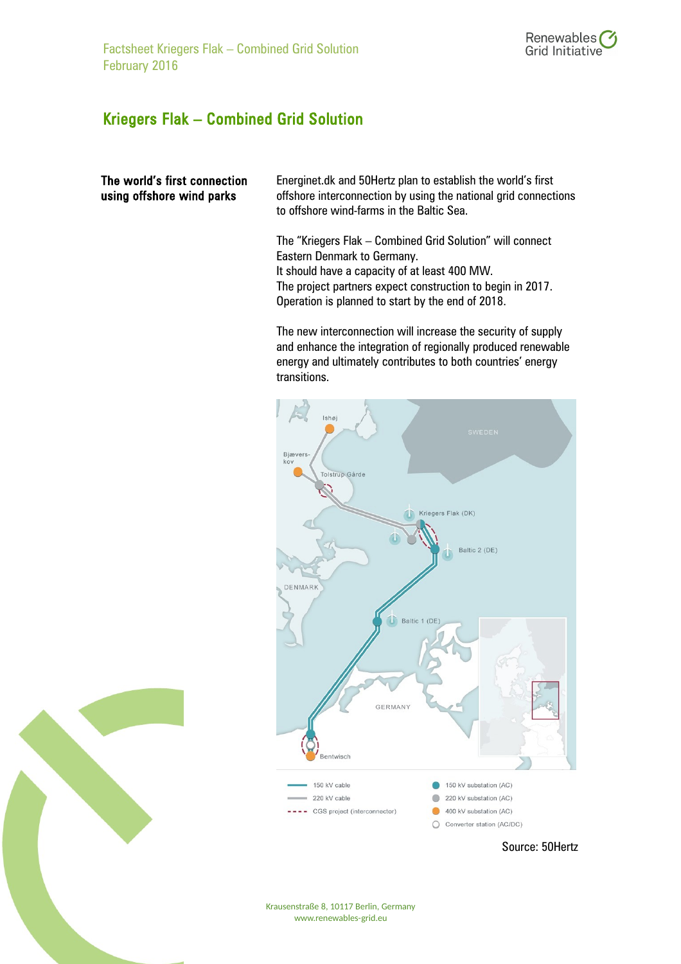

## Kriegers Flak – Combined Grid Solution

## The world's first connection using offshore wind parks

Energinet.dk and 50Hertz plan to establish the world's first offshore interconnection by using the national grid connections to offshore wind-farms in the Baltic Sea.

The "Kriegers Flak – Combined Grid Solution" will connect Eastern Denmark to Germany. It should have a capacity of at least 400 MW. The project partners expect construction to begin in 2017. Operation is planned to start by the end of 2018.

The new interconnection will increase the security of supply and enhance the integration of regionally produced renewable energy and ultimately contributes to both countries' energy transitions.





Krausenstraße 8, 10117 Berlin, Germany www.renewables-grid.eu